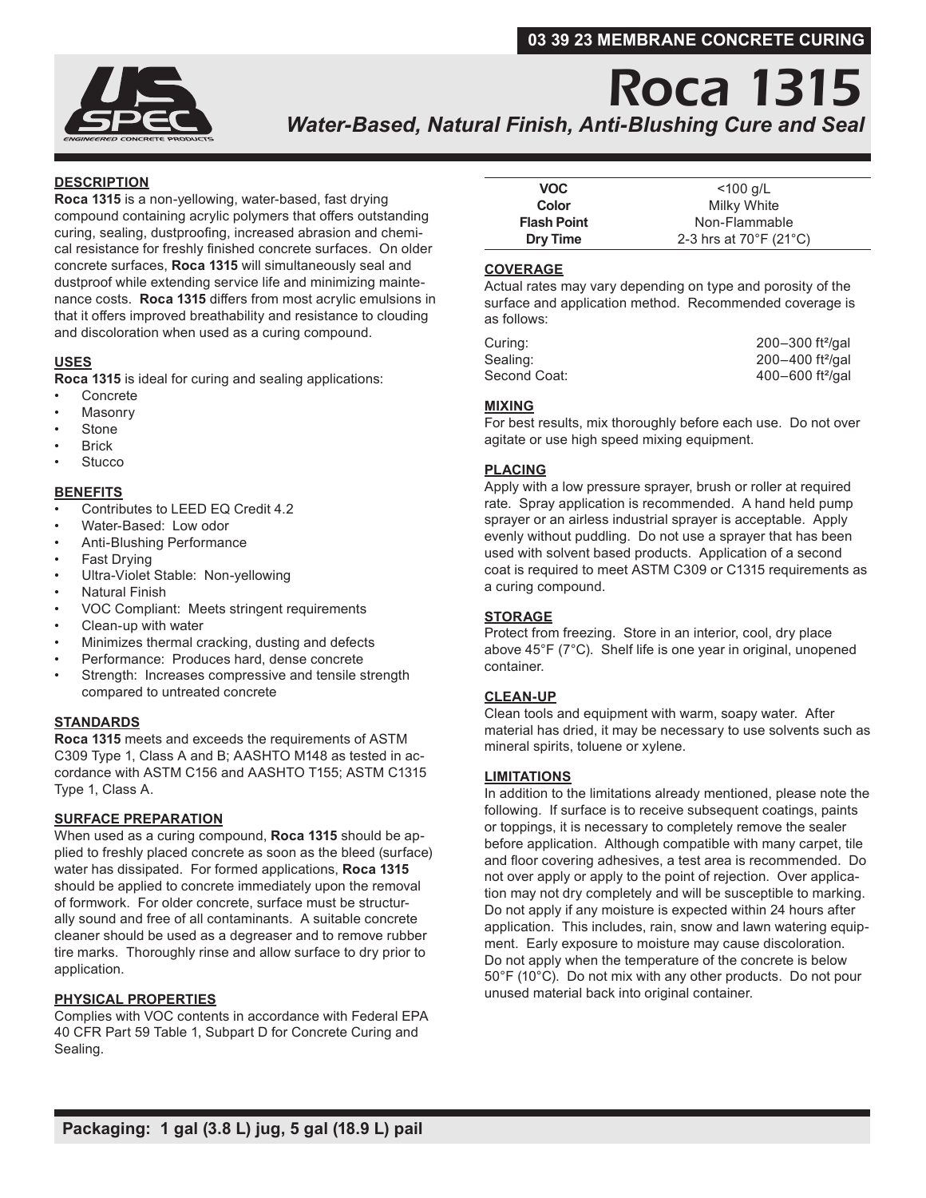## **03 39 23 MEMBRANE CONCRETE CURING**



## Roca 1315 *Water-Based, Natural Finish, Anti-Blushing Cure and Seal*

## **DESCRIPTION**

**Roca 1315** is a non-yellowing, water-based, fast drying compound containing acrylic polymers that offers outstanding curing, sealing, dustproofing, increased abrasion and chemical resistance for freshly finished concrete surfaces. On older concrete surfaces, **Roca 1315** will simultaneously seal and dustproof while extending service life and minimizing maintenance costs. **Roca 1315** differs from most acrylic emulsions in that it offers improved breathability and resistance to clouding and discoloration when used as a curing compound.

## **USES**

**Roca 1315** is ideal for curing and sealing applications:

- **Concrete**
- **Masonry**
- **Stone**
- **Brick**
- **Stucco**

## **BENEFITS**

- Contributes to LEED EQ Credit 4.2
- Water-Based: Low odor
- Anti-Blushing Performance
- Fast Drying
- Ultra-Violet Stable: Non-yellowing
- Natural Finish
- VOC Compliant: Meets stringent requirements
- Clean-up with water
- Minimizes thermal cracking, dusting and defects
- Performance: Produces hard, dense concrete
- Strength: Increases compressive and tensile strength compared to untreated concrete

### **STANDARDS**

**Roca 1315** meets and exceeds the requirements of ASTM C309 Type 1, Class A and B; AASHTO M148 as tested in accordance with ASTM C156 and AASHTO T155; ASTM C1315 Type 1, Class A.

### **SURFACE PREPARATION**

When used as a curing compound, **Roca 1315** should be applied to freshly placed concrete as soon as the bleed (surface) water has dissipated. For formed applications, **Roca 1315**  should be applied to concrete immediately upon the removal of formwork. For older concrete, surface must be structurally sound and free of all contaminants. A suitable concrete cleaner should be used as a degreaser and to remove rubber tire marks. Thoroughly rinse and allow surface to dry prior to application.

## **PHYSICAL PROPERTIES**

Complies with VOC contents in accordance with Federal EPA 40 CFR Part 59 Table 1, Subpart D for Concrete Curing and Sealing.

| VOC.               | $<$ 100 g/L                                 |
|--------------------|---------------------------------------------|
| Color              | Milky White                                 |
| <b>Flash Point</b> | Non-Flammable                               |
| <b>Dry Time</b>    | 2-3 hrs at $70^{\circ}$ F (21 $^{\circ}$ C) |

#### **COVERAGE**

Actual rates may vary depending on type and porosity of the surface and application method. Recommended coverage is as follows:

| Curing:      | 200-300 ft <sup>2</sup> /gal     |
|--------------|----------------------------------|
| Sealing:     | $200 - 400$ ft <sup>2</sup> /gal |
| Second Coat: | $400 - 600$ ft <sup>2</sup> /gal |

## **MIXING**

For best results, mix thoroughly before each use. Do not over agitate or use high speed mixing equipment.

## **PLACING**

Apply with a low pressure sprayer, brush or roller at required rate. Spray application is recommended. A hand held pump sprayer or an airless industrial sprayer is acceptable. Apply evenly without puddling. Do not use a sprayer that has been used with solvent based products. Application of a second coat is required to meet ASTM C309 or C1315 requirements as a curing compound.

### **STORAGE**

Protect from freezing. Store in an interior, cool, dry place above 45°F (7°C). Shelf life is one year in original, unopened container.

### **CLEAN-UP**

Clean tools and equipment with warm, soapy water. After material has dried, it may be necessary to use solvents such as mineral spirits, toluene or xylene.

### **LIMITATIONS**

In addition to the limitations already mentioned, please note the following. If surface is to receive subsequent coatings, paints or toppings, it is necessary to completely remove the sealer before application. Although compatible with many carpet, tile and floor covering adhesives, a test area is recommended. Do not over apply or apply to the point of rejection. Over application may not dry completely and will be susceptible to marking. Do not apply if any moisture is expected within 24 hours after application. This includes, rain, snow and lawn watering equipment. Early exposure to moisture may cause discoloration. Do not apply when the temperature of the concrete is below 50°F (10°C). Do not mix with any other products. Do not pour unused material back into original container.